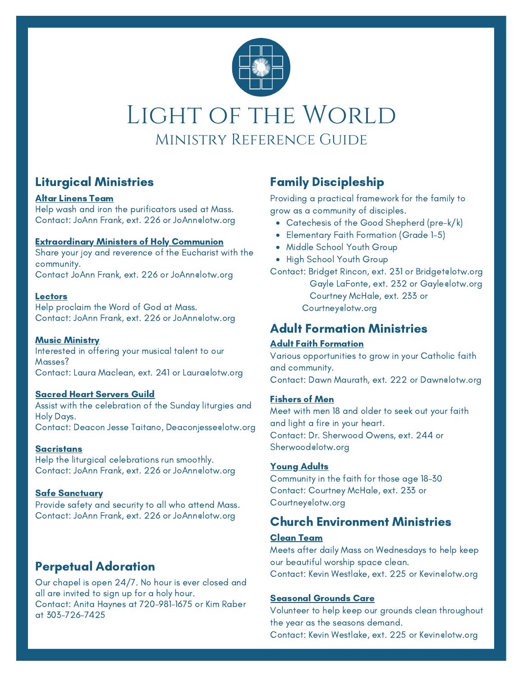

# LIGHT OF THE WORLD Ministry Reference Guide

# Liturgical Ministries Family Discipleship

#### Altar Linens Team

Help wash and iron the purificators used at Mass. Contact: JoAnn Frank, ext. 226 or JoAnn@lotw.org

#### Extraordinary Ministers of Holy Communion

Share your joy and reverence of the Eucharist with the community. Contact JoAnn Frank, ext. 226 or JoAnn@lotw.org

#### **Lectors**

Help proclaim the Word of God at Mass. Contact: JoAnn Frank, ext. 226 or JoAnn@lotw.org

#### **Music Ministry**

Interested in offering your musical talent to our Masses? Contact: Laura Maclean, ext. 241 or Lauraelotw.org

#### Sacred Heart Servers Guild

Assist with the celebration of the Sunday liturgies and Holy Days. Contact: Deacon Jesse Taitano, Deaconjesse@lotw.org

**Sacristans** 

Help the liturgical celebrations run smoothly. Contact: JoAnn Frank, ext. 226 or JoAnn@lotw.org

#### Safe Sanctuary

Provide safety and security to all who attend Mass. Contact: JoAnn Frank, ext. 226 or JoAnn@lotw.org

# Perpetual Adoration

Our chapel is open 24/7. No hour is ever closed and all are invited to sign up for a holy hour. Contact: Anita Haynes at 720-981-1675 or Kim Raber at 303-726-7425

Providing a practical framework for the family to grow as a community of disciples.

- Catechesis of the Good Shepherd (pre-k/k)
- Elementary Faith Formation (Grade 1-5)
- Middle School Youth Group
- High School Youth Group

Contact: Bridget Rincon, ext. 231 or Bridget@lotw.org

Gayle LaFonte, ext. 232 or Gayle@lotw.org Courtney McHale, ext. 233 or Courtney@lotw.org

# Adult Formation Ministries

#### Adult Faith Formation

Various opportunities to grow in your Catholic faith and community. Contact: Dawn Maurath, ext. 222 or Dawn@lotw.org

#### Fishers of Men

Meet with men 18 and older to seek out your faith and light a fire in your heart. Contact: Dr. Sherwood Owens, ext. 244 or Sherwood@lotw.org

#### Young Adults

Community in the faith for those age 18-30 Contact: Courtney McHale, ext. 233 or Courtney@lotw.org

## Church Environment Ministries

#### Clean Team

Meets after daily Mass on Wednesdays to help keep our beautiful worship space clean. Contact: Kevin Westlake, ext. 225 or Kevin@lotw.org

#### Seasonal Grounds Care

Volunteer to help keep our grounds clean throughout the year as the seasons demand.

Contact: Kevin Westlake, ext. 225 or Kevin@lotw.org